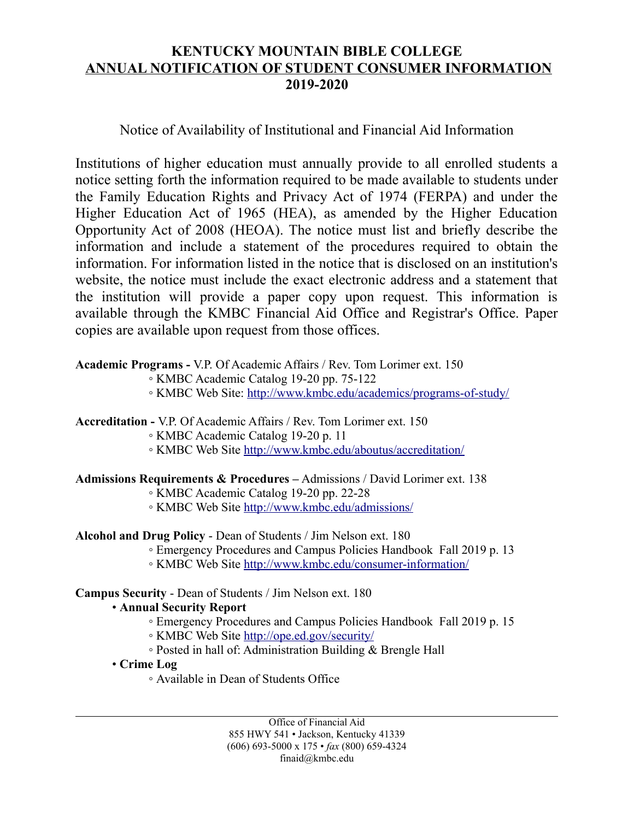# **KENTUCKY MOUNTAIN BIBLE COLLEGE ANNUAL NOTIFICATION OF STUDENT CONSUMER INFORMATION 2019-2020**

# Notice of Availability of Institutional and Financial Aid Information

Institutions of higher education must annually provide to all enrolled students a notice setting forth the information required to be made available to students under the Family Education Rights and Privacy Act of 1974 (FERPA) and under the Higher Education Act of 1965 (HEA), as amended by the Higher Education Opportunity Act of 2008 (HEOA). The notice must list and briefly describe the information and include a statement of the procedures required to obtain the information. For information listed in the notice that is disclosed on an institution's website, the notice must include the exact electronic address and a statement that the institution will provide a paper copy upon request. This information is available through the KMBC Financial Aid Office and Registrar's Office. Paper copies are available upon request from those offices.

# **Academic Programs -** V.P. Of Academic Affairs / Rev. Tom Lorimer ext. 150

- KMBC Academic Catalog 19-20 pp. 75-122
- KMBC Web Site: <http://www.kmbc.edu/academics/programs-of-study/>

# **Accreditation -** V.P. Of Academic Affairs / Rev. Tom Lorimer ext. 150

- KMBC Academic Catalog 19-20 p. 11
- KMBC Web Site<http://www.kmbc.edu/aboutus/accreditation/>

# **Admissions Requirements & Procedures –** Admissions / David Lorimer ext. 138

- KMBC Academic Catalog 19-20 pp. 22-28
- KMBC Web Site<http://www.kmbc.edu/admissions/>

# **Alcohol and Drug Policy** - Dean of Students / Jim Nelson ext. 180

- Emergency Procedures and Campus Policies Handbook Fall 2019 p. 13
- KMBC Web Site<http://www.kmbc.edu/consumer-information/>

# **Campus Security** - Dean of Students / Jim Nelson ext. 180

# • **Annual Security Report**

- Emergency Procedures and Campus Policies Handbook Fall 2019 p. 15
- KMBC Web Site<http://ope.ed.gov/security/>
- Posted in hall of: Administration Building & Brengle Hall
- **Crime Log**
	- Available in Dean of Students Office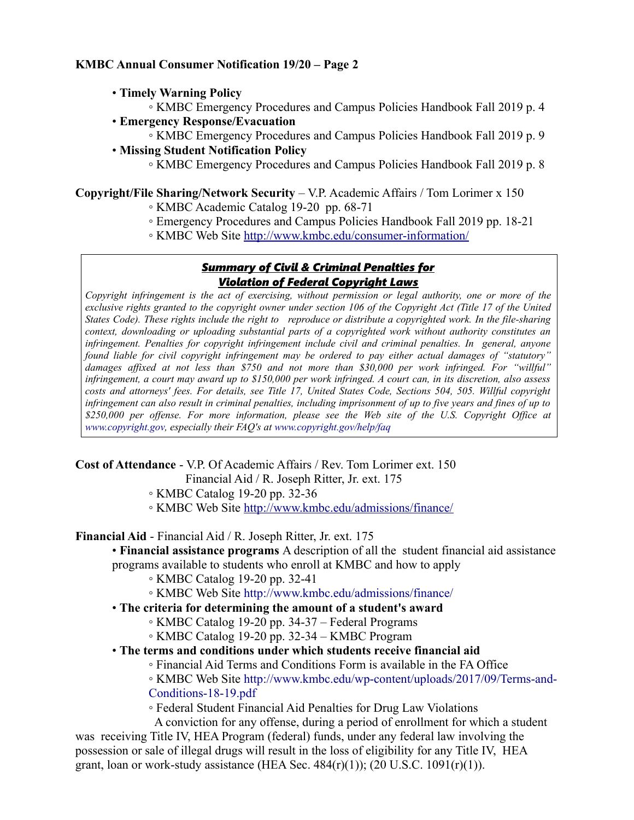- **Timely Warning Policy**
	- KMBC Emergency Procedures and Campus Policies Handbook Fall 2019 p. 4
- **Emergency Response/Evacuation**
	- KMBC Emergency Procedures and Campus Policies Handbook Fall 2019 p. 9
- **Missing Student Notification Policy**
	- KMBC Emergency Procedures and Campus Policies Handbook Fall 2019 p. 8

**Copyright/File Sharing/Network Security** – V.P. Academic Affairs / Tom Lorimer x 150

- KMBC Academic Catalog 19-20 pp. 68-71
- Emergency Procedures and Campus Policies Handbook Fall 2019 pp. 18-21
- KMBC Web Site<http://www.kmbc.edu/consumer-information/>

#### *Summary of Civil & Criminal Penalties for Violation of Federal Copyright Laws*

*Copyright infringement is the act of exercising, without permission or legal authority, one or more of the exclusive rights granted to the copyright owner under section 106 of the Copyright Act (Title 17 of the United States Code). These rights include the right to reproduce or distribute a copyrighted work. In the file-sharing context, downloading or uploading substantial parts of a copyrighted work without authority constitutes an infringement. Penalties for copyright infringement include civil and criminal penalties. In general, anyone found liable for civil copyright infringement may be ordered to pay either actual damages of "statutory" damages affixed at not less than \$750 and not more than \$30,000 per work infringed. For "willful" infringement, a court may award up to \$150,000 per work infringed. A court can, in its discretion, also assess costs and attorneys' fees. For details, see Title 17, United States Code, Sections 504, 505. Willful copyright infringement can also result in criminal penalties, including imprisonment of up to five years and fines of up to \$250,000 per offense. For more information, please see the Web site of the U.S. Copyright Office at www.copyright.gov, especially their FAQ's at www.copyright.gov/help/faq*

**Cost of Attendance** - V.P. Of Academic Affairs / Rev. Tom Lorimer ext. 150

Financial Aid / R. Joseph Ritter, Jr. ext. 175

- KMBC Catalog 19-20 pp. 32-36
- KMBC Web Site<http://www.kmbc.edu/admissions/finance/>

**Financial Aid** - Financial Aid / R. Joseph Ritter, Jr. ext. 175

- **Financial assistance programs** A description of all the student financial aid assistance
- programs available to students who enroll at KMBC and how to apply
	- KMBC Catalog 19-20 pp. 32-41
	- KMBC Web Site http://www.kmbc.edu/admissions/finance/
- **The criteria for determining the amount of a student's award**
	- KMBC Catalog 19-20 pp. 34-37 Federal Programs
	- KMBC Catalog 19-20 pp. 32-34 KMBC Program
- **The terms and conditions under which students receive financial aid**
	- Financial Aid Terms and Conditions Form is available in the FA Office

◦ KMBC Web Site [http://www.kmbc.edu/wp-content/uploads/2017/09/Terms-and-](http://www.kmbc.edu/wp-content/uploads/2017/09/Terms-and-Conditions-17-18.pdf)[Conditions-18-19.pdf](http://www.kmbc.edu/wp-content/uploads/2017/09/Terms-and-Conditions-17-18.pdf)

◦ Federal Student Financial Aid Penalties for Drug Law Violations

 A conviction for any offense, during a period of enrollment for which a student was receiving Title IV, HEA Program (federal) funds, under any federal law involving the possession or sale of illegal drugs will result in the loss of eligibility for any Title IV, HEA grant, loan or work-study assistance (HEA Sec.  $484(r)(1)$ ); (20 U.S.C. 1091 $(r)(1)$ ).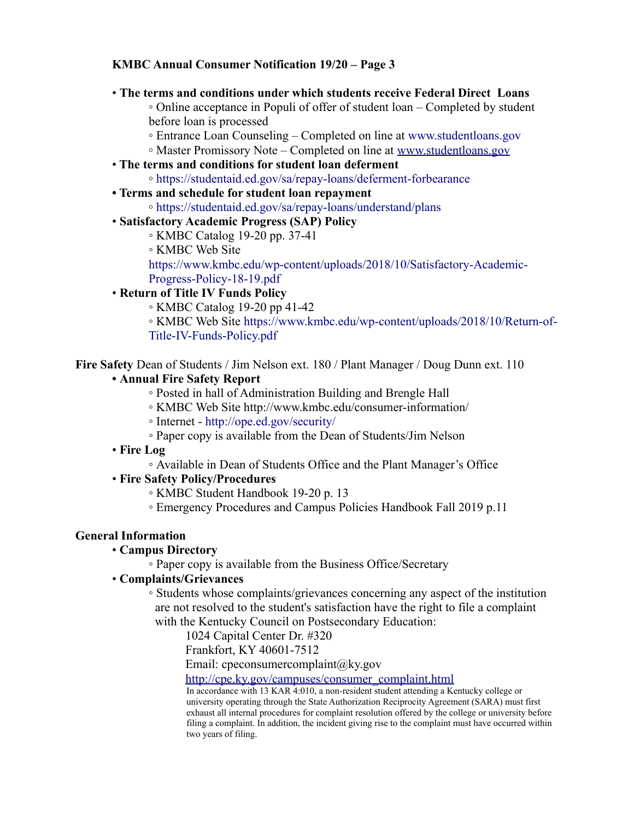• **The terms and conditions under which students receive Federal Direct Loans**

◦ Online acceptance in Populi of offer of student loan – Completed by student before loan is processed

- Entrance Loan Counseling Completed on line at www.studentloans.gov
- Master Promissory Note Completed on line at [www.studentloans.gov](http://www.studentloans.gov/)
- • **The terms and conditions for student loan deferment**
	- https://studentaid.ed.gov/sa/repay-loans/deferment-forbearance
- **Terms and schedule for student loan repayment**
	- https://studentaid.ed.gov/sa/repay-loans/understand/plans

#### • **Satisfactory Academic Progress (SAP) Policy**

- KMBC Catalog 19-20 pp. 37-41
- KMBC Web Site

https://www.kmbc.edu/wp-content/uploads/2018/10/Satisfactory-Academic-Progress-Policy-18-19.pdf

• **Return of Title IV Funds Policy**

◦ KMBC Catalog 19-20 pp 41-42

◦ KMBC Web Site https://www.kmbc.edu/wp-content/uploads/2018/10/Return-of-Title-IV-Funds-Policy.pdf

**Fire Safety** Dean of Students / Jim Nelson ext. 180 / Plant Manager / Doug Dunn ext. 110

# **• Annual Fire Safety Report**

- Posted in hall of Administration Building and Brengle Hall
- KMBC Web Site http://www.kmbc.edu/consumer-information/
- Internet http://ope.ed.gov/security/
- Paper copy is available from the Dean of Students/Jim Nelson
- **Fire Log**
	- Available in Dean of Students Office and the Plant Manager's Office
- **Fire Safety Policy/Procedures**
	- KMBC Student Handbook 19-20 p. 13
	- Emergency Procedures and Campus Policies Handbook Fall 2019 p.11

# **General Information**

- **Campus Directory**
	- Paper copy is available from the Business Office/Secretary

# • **Complaints/Grievances**

◦ Students whose complaints/grievances concerning any aspect of the institution are not resolved to the student's satisfaction have the right to file a complaint

with the Kentucky Council on Postsecondary Education:

1024 Capital Center Dr. #320

Frankfort, KY 40601-7512

Email: cpeconsumercomplaint@ky.gov

[http://cpe.ky.gov/campuses/consumer\\_complaint.html](http://cpe.ky.gov/campuses/consumer_complaint.html)

In accordance with 13 KAR 4:010, a non-resident student attending a Kentucky college or university operating through the State Authorization Reciprocity Agreement (SARA) must first exhaust all internal procedures for complaint resolution offered by the college or university before filing a complaint. In addition, the incident giving rise to the complaint must have occurred within two years of filing.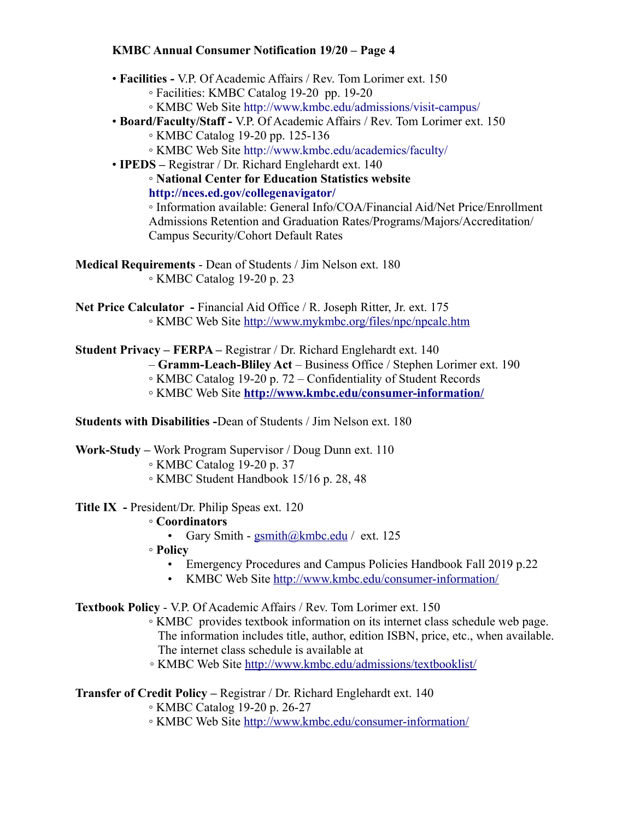- **Facilities** V.P. Of Academic Affairs / Rev. Tom Lorimer ext. 150
	- Facilities: KMBC Catalog 19-20 pp. 19-20
	- KMBC Web Site http://www.kmbc.edu/admissions/visit-campus/
- **Board/Faculty/Staff** V.P. Of Academic Affairs / Rev. Tom Lorimer ext. 150

◦ KMBC Catalog 19-20 pp. 125-136

- KMBC Web Site http://www.kmbc.edu/academics/faculty/
- **IPEDS** Registrar / Dr. Richard Englehardt ext. 140

◦ **National Center for Education Statistics website http://nces.ed.gov/collegenavigator/**

◦ Information available: General Info/COA/Financial Aid/Net Price/Enrollment Admissions Retention and Graduation Rates/Programs/Majors/Accreditation/ Campus Security/Cohort Default Rates

**Medical Requirements** - Dean of Students / Jim Nelson ext. 180 ◦ KMBC Catalog 19-20 p. 23

- Net Price Calculator Financial Aid Office / R. Joseph Ritter, Jr. ext. 175 ◦ KMBC Web Site<http://www.mykmbc.org/files/npc/npcalc.htm>
- **Student Privacy FERPA –** Registrar / Dr. Richard Englehardt ext. 140
	- **Gramm-Leach-Bliley Act** Business Office / Stephen Lorimer ext. 190
	- KMBC Catalog 19-20 p. 72 Confidentiality of Student Records
	- KMBC Web Site **<http://www.kmbc.edu/consumer-information/>**

**Students with Disabilities -**Dean of Students / Jim Nelson ext. 180

**Work-Study –** Work Program Supervisor / Doug Dunn ext. 110

- KMBC Catalog 19-20 p. 37
- KMBC Student Handbook 15/16 p. 28, 48
- **Title IX** President/Dr. Philip Speas ext. 120

# ◦ **Coordinators**

- Gary Smith  $\text{gsmith}\{\omega \text{kmbc.edu}\}/\text{ext.}125$
- **Policy**
	- Emergency Procedures and Campus Policies Handbook Fall 2019 p.22
	- KMBC Web Site<http://www.kmbc.edu/consumer-information/>

**Textbook Policy** - V.P. Of Academic Affairs / Rev. Tom Lorimer ext. 150

- KMBC provides textbook information on its internet class schedule web page. The information includes title, author, edition ISBN, price, etc., when available. The internet class schedule is available at
- KMBC Web Site<http://www.kmbc.edu/admissions/textbooklist/>

**Transfer of Credit Policy –** Registrar / Dr. Richard Englehardt ext. 140

- KMBC Catalog 19-20 p. 26-27
- KMBC Web Site<http://www.kmbc.edu/consumer-information/>